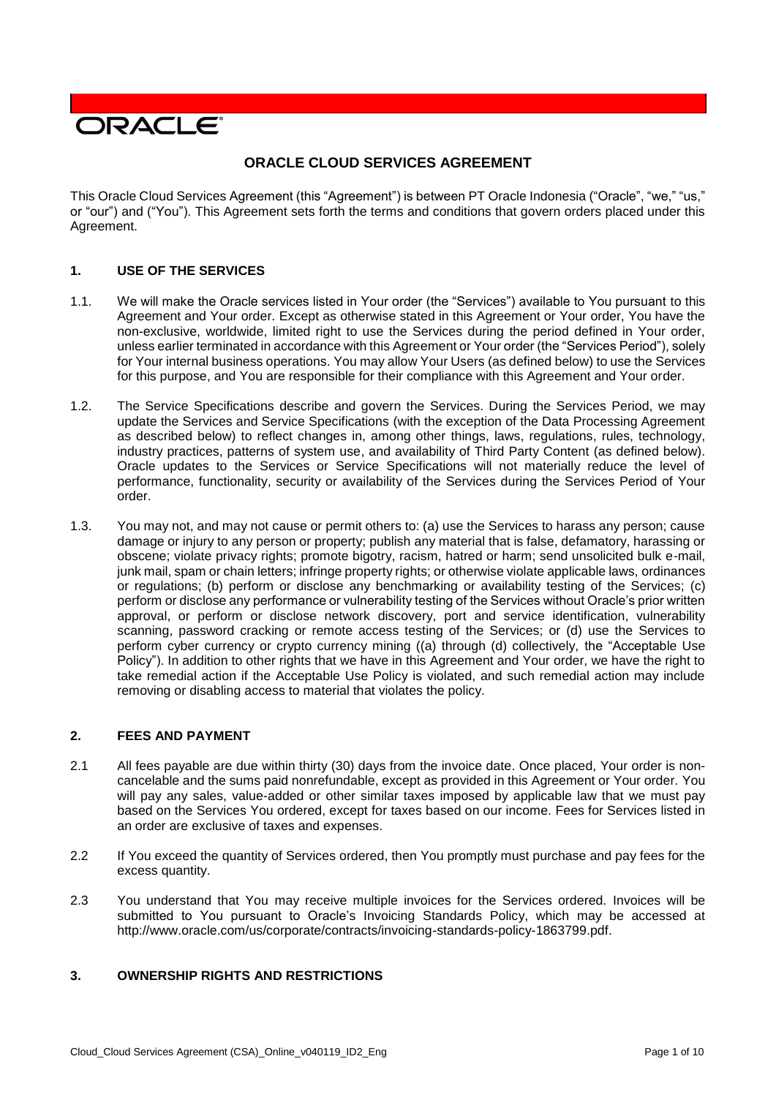

# **ORACLE CLOUD SERVICES AGREEMENT**

This Oracle Cloud Services Agreement (this "Agreement") is between PT Oracle Indonesia ("Oracle", "we," "us," or "our") and ("You"). This Agreement sets forth the terms and conditions that govern orders placed under this Agreement.

## **1. USE OF THE SERVICES**

- 1.1. We will make the Oracle services listed in Your order (the "Services") available to You pursuant to this Agreement and Your order. Except as otherwise stated in this Agreement or Your order, You have the non-exclusive, worldwide, limited right to use the Services during the period defined in Your order, unless earlier terminated in accordance with this Agreement or Your order (the "Services Period"), solely for Your internal business operations. You may allow Your Users (as defined below) to use the Services for this purpose, and You are responsible for their compliance with this Agreement and Your order.
- 1.2. The Service Specifications describe and govern the Services. During the Services Period, we may update the Services and Service Specifications (with the exception of the Data Processing Agreement as described below) to reflect changes in, among other things, laws, regulations, rules, technology, industry practices, patterns of system use, and availability of Third Party Content (as defined below). Oracle updates to the Services or Service Specifications will not materially reduce the level of performance, functionality, security or availability of the Services during the Services Period of Your order.
- 1.3. You may not, and may not cause or permit others to: (a) use the Services to harass any person; cause damage or injury to any person or property; publish any material that is false, defamatory, harassing or obscene; violate privacy rights; promote bigotry, racism, hatred or harm; send unsolicited bulk e-mail, junk mail, spam or chain letters; infringe property rights; or otherwise violate applicable laws, ordinances or regulations; (b) perform or disclose any benchmarking or availability testing of the Services; (c) perform or disclose any performance or vulnerability testing of the Services without Oracle's prior written approval, or perform or disclose network discovery, port and service identification, vulnerability scanning, password cracking or remote access testing of the Services; or (d) use the Services to perform cyber currency or crypto currency mining ((a) through (d) collectively, the "Acceptable Use Policy"). In addition to other rights that we have in this Agreement and Your order, we have the right to take remedial action if the Acceptable Use Policy is violated, and such remedial action may include removing or disabling access to material that violates the policy.

### **2. FEES AND PAYMENT**

- 2.1 All fees payable are due within thirty (30) days from the invoice date. Once placed, Your order is noncancelable and the sums paid nonrefundable, except as provided in this Agreement or Your order. You will pay any sales, value-added or other similar taxes imposed by applicable law that we must pay based on the Services You ordered, except for taxes based on our income. Fees for Services listed in an order are exclusive of taxes and expenses.
- 2.2 If You exceed the quantity of Services ordered, then You promptly must purchase and pay fees for the excess quantity.
- 2.3 You understand that You may receive multiple invoices for the Services ordered. Invoices will be submitted to You pursuant to Oracle's Invoicing Standards Policy, which may be accessed at [http://www.oracle.com/us/corporate/contracts/invoicing-standards-policy-1863799.pdf.](http://www.oracle.com/us/corporate/contracts/invoicing-standards-policy-1863799.pdf)

# **3. OWNERSHIP RIGHTS AND RESTRICTIONS**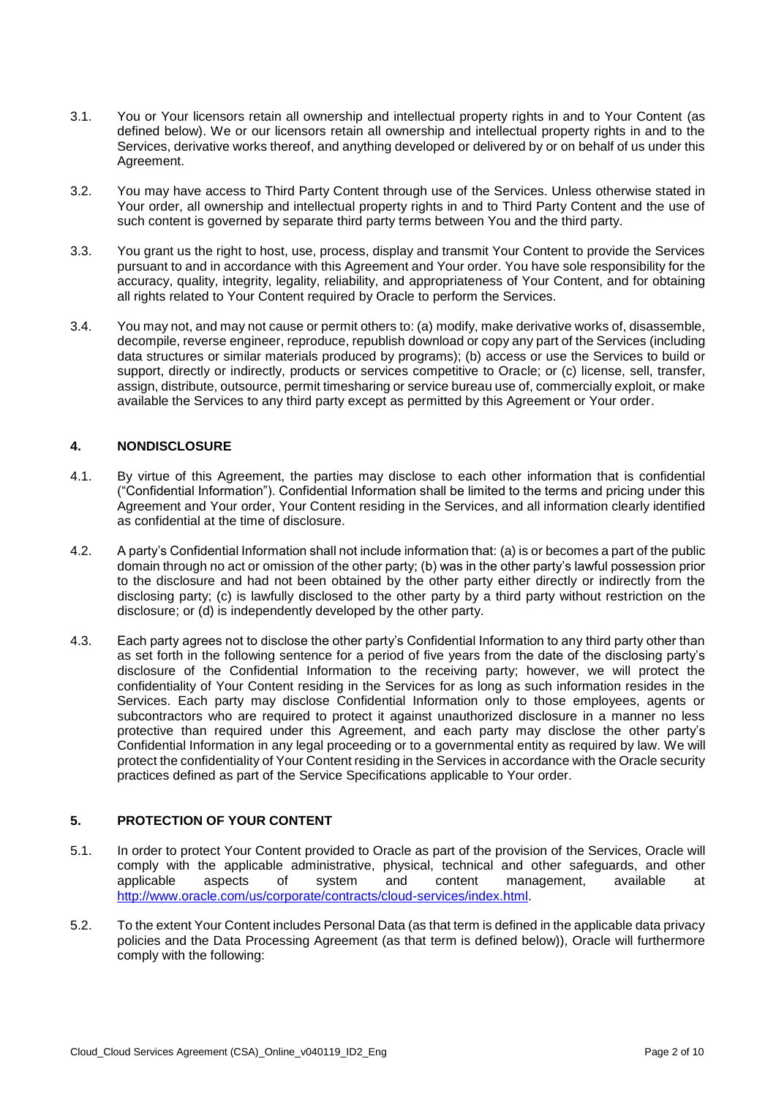- 3.1. You or Your licensors retain all ownership and intellectual property rights in and to Your Content (as defined below). We or our licensors retain all ownership and intellectual property rights in and to the Services, derivative works thereof, and anything developed or delivered by or on behalf of us under this Agreement.
- 3.2. You may have access to Third Party Content through use of the Services. Unless otherwise stated in Your order, all ownership and intellectual property rights in and to Third Party Content and the use of such content is governed by separate third party terms between You and the third party.
- 3.3. You grant us the right to host, use, process, display and transmit Your Content to provide the Services pursuant to and in accordance with this Agreement and Your order. You have sole responsibility for the accuracy, quality, integrity, legality, reliability, and appropriateness of Your Content, and for obtaining all rights related to Your Content required by Oracle to perform the Services.
- 3.4. You may not, and may not cause or permit others to: (a) modify, make derivative works of, disassemble, decompile, reverse engineer, reproduce, republish download or copy any part of the Services (including data structures or similar materials produced by programs); (b) access or use the Services to build or support, directly or indirectly, products or services competitive to Oracle; or (c) license, sell, transfer, assign, distribute, outsource, permit timesharing or service bureau use of, commercially exploit, or make available the Services to any third party except as permitted by this Agreement or Your order.

## **4. NONDISCLOSURE**

- 4.1. By virtue of this Agreement, the parties may disclose to each other information that is confidential ("Confidential Information"). Confidential Information shall be limited to the terms and pricing under this Agreement and Your order, Your Content residing in the Services, and all information clearly identified as confidential at the time of disclosure.
- 4.2. A party's Confidential Information shall not include information that: (a) is or becomes a part of the public domain through no act or omission of the other party; (b) was in the other party's lawful possession prior to the disclosure and had not been obtained by the other party either directly or indirectly from the disclosing party; (c) is lawfully disclosed to the other party by a third party without restriction on the disclosure; or (d) is independently developed by the other party.
- 4.3. Each party agrees not to disclose the other party's Confidential Information to any third party other than as set forth in the following sentence for a period of five years from the date of the disclosing party's disclosure of the Confidential Information to the receiving party; however, we will protect the confidentiality of Your Content residing in the Services for as long as such information resides in the Services. Each party may disclose Confidential Information only to those employees, agents or subcontractors who are required to protect it against unauthorized disclosure in a manner no less protective than required under this Agreement, and each party may disclose the other party's Confidential Information in any legal proceeding or to a governmental entity as required by law. We will protect the confidentiality of Your Content residing in the Services in accordance with the Oracle security practices defined as part of the Service Specifications applicable to Your order.

# **5. PROTECTION OF YOUR CONTENT**

- 5.1. In order to protect Your Content provided to Oracle as part of the provision of the Services, Oracle will comply with the applicable administrative, physical, technical and other safeguards, and other applicable aspects of system and content management. available at applicable aspects of system and content management, available at [http://www.oracle.com/us/corporate/contracts/cloud-services/index.html.](http://www.oracle.com/us/corporate/contracts/cloud-services/index.html)
- 5.2. To the extent Your Content includes Personal Data (as that term is defined in the applicable data privacy policies and the Data Processing Agreement (as that term is defined below)), Oracle will furthermore comply with the following: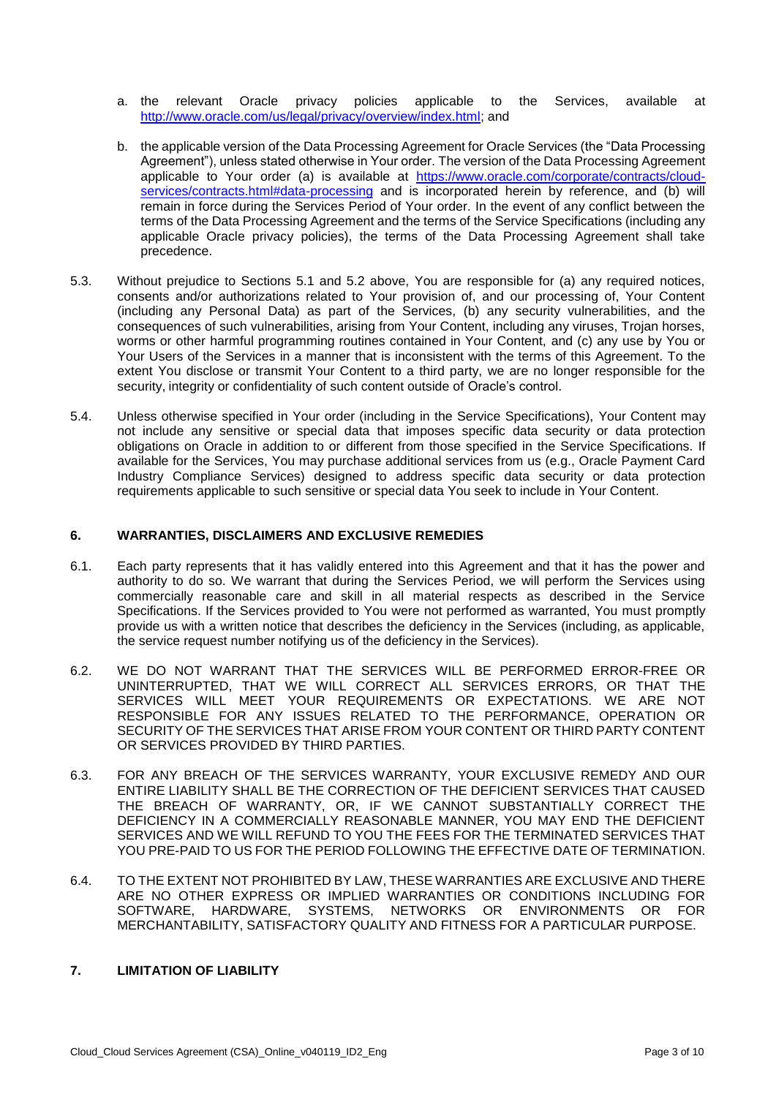- a. the relevant Oracle privacy policies applicable to the Services, available at [http://www.oracle.com/us/legal/privacy/overview/index.html;](http://www.oracle.com/us/legal/privacy/overview/index.html) and
- b. the applicable version of the Data Processing Agreement for Oracle Services (the "Data Processing Agreement"), unless stated otherwise in Your order. The version of the Data Processing Agreement applicable to Your order (a) is available at [https://www.oracle.com/corporate/contracts/cloud](https://www.oracle.com/corporate/contracts/cloud-services/contracts.html#data-processing)[services/contracts.html#data-processing](https://www.oracle.com/corporate/contracts/cloud-services/contracts.html#data-processing) and is incorporated herein by reference, and (b) will remain in force during the Services Period of Your order. In the event of any conflict between the terms of the Data Processing Agreement and the terms of the Service Specifications (including any applicable Oracle privacy policies), the terms of the Data Processing Agreement shall take precedence.
- 5.3. Without prejudice to Sections 5.1 and 5.2 above, You are responsible for (a) any required notices, consents and/or authorizations related to Your provision of, and our processing of, Your Content (including any Personal Data) as part of the Services, (b) any security vulnerabilities, and the consequences of such vulnerabilities, arising from Your Content, including any viruses, Trojan horses, worms or other harmful programming routines contained in Your Content, and (c) any use by You or Your Users of the Services in a manner that is inconsistent with the terms of this Agreement. To the extent You disclose or transmit Your Content to a third party, we are no longer responsible for the security, integrity or confidentiality of such content outside of Oracle's control.
- 5.4. Unless otherwise specified in Your order (including in the Service Specifications), Your Content may not include any sensitive or special data that imposes specific data security or data protection obligations on Oracle in addition to or different from those specified in the Service Specifications. If available for the Services, You may purchase additional services from us (e.g., Oracle Payment Card Industry Compliance Services) designed to address specific data security or data protection requirements applicable to such sensitive or special data You seek to include in Your Content.

### **6. WARRANTIES, DISCLAIMERS AND EXCLUSIVE REMEDIES**

- 6.1. Each party represents that it has validly entered into this Agreement and that it has the power and authority to do so. We warrant that during the Services Period, we will perform the Services using commercially reasonable care and skill in all material respects as described in the Service Specifications. If the Services provided to You were not performed as warranted, You must promptly provide us with a written notice that describes the deficiency in the Services (including, as applicable, the service request number notifying us of the deficiency in the Services).
- 6.2. WE DO NOT WARRANT THAT THE SERVICES WILL BE PERFORMED ERROR-FREE OR UNINTERRUPTED, THAT WE WILL CORRECT ALL SERVICES ERRORS, OR THAT THE SERVICES WILL MEET YOUR REQUIREMENTS OR EXPECTATIONS. WE ARE NOT RESPONSIBLE FOR ANY ISSUES RELATED TO THE PERFORMANCE, OPERATION OR SECURITY OF THE SERVICES THAT ARISE FROM YOUR CONTENT OR THIRD PARTY CONTENT OR SERVICES PROVIDED BY THIRD PARTIES.
- 6.3. FOR ANY BREACH OF THE SERVICES WARRANTY, YOUR EXCLUSIVE REMEDY AND OUR ENTIRE LIABILITY SHALL BE THE CORRECTION OF THE DEFICIENT SERVICES THAT CAUSED THE BREACH OF WARRANTY, OR, IF WE CANNOT SUBSTANTIALLY CORRECT THE DEFICIENCY IN A COMMERCIALLY REASONABLE MANNER, YOU MAY END THE DEFICIENT SERVICES AND WE WILL REFUND TO YOU THE FEES FOR THE TERMINATED SERVICES THAT YOU PRE-PAID TO US FOR THE PERIOD FOLLOWING THE EFFECTIVE DATE OF TERMINATION.
- 6.4. TO THE EXTENT NOT PROHIBITED BY LAW, THESE WARRANTIES ARE EXCLUSIVE AND THERE ARE NO OTHER EXPRESS OR IMPLIED WARRANTIES OR CONDITIONS INCLUDING FOR SOFTWARE, HARDWARE, SYSTEMS, NETWORKS OR ENVIRONMENTS OR FOR MERCHANTABILITY, SATISFACTORY QUALITY AND FITNESS FOR A PARTICULAR PURPOSE.

# **7. LIMITATION OF LIABILITY**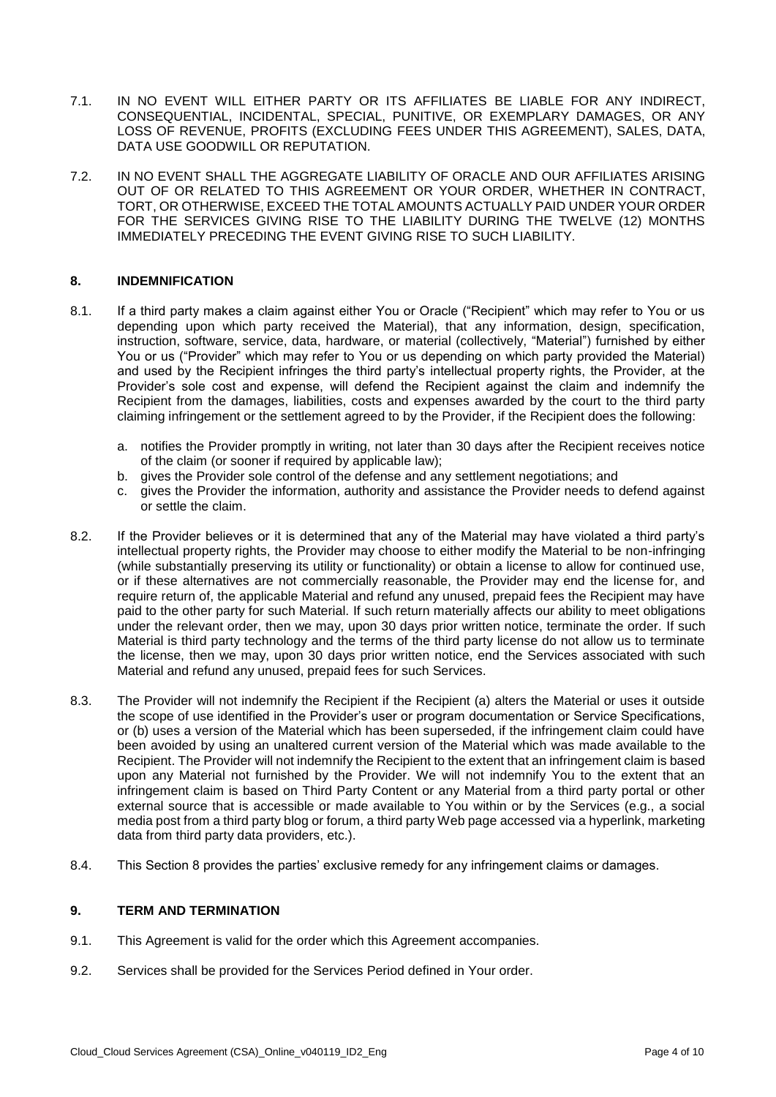- 7.1. IN NO EVENT WILL EITHER PARTY OR ITS AFFILIATES BE LIABLE FOR ANY INDIRECT, CONSEQUENTIAL, INCIDENTAL, SPECIAL, PUNITIVE, OR EXEMPLARY DAMAGES, OR ANY LOSS OF REVENUE, PROFITS (EXCLUDING FEES UNDER THIS AGREEMENT), SALES, DATA, DATA USE GOODWILL OR REPUTATION.
- 7.2. IN NO EVENT SHALL THE AGGREGATE LIABILITY OF ORACLE AND OUR AFFILIATES ARISING OUT OF OR RELATED TO THIS AGREEMENT OR YOUR ORDER, WHETHER IN CONTRACT, TORT, OR OTHERWISE, EXCEED THE TOTAL AMOUNTS ACTUALLY PAID UNDER YOUR ORDER FOR THE SERVICES GIVING RISE TO THE LIABILITY DURING THE TWELVE (12) MONTHS IMMEDIATELY PRECEDING THE EVENT GIVING RISE TO SUCH LIABILITY.

### **8. INDEMNIFICATION**

- 8.1. If a third party makes a claim against either You or Oracle ("Recipient" which may refer to You or us depending upon which party received the Material), that any information, design, specification, instruction, software, service, data, hardware, or material (collectively, "Material") furnished by either You or us ("Provider" which may refer to You or us depending on which party provided the Material) and used by the Recipient infringes the third party's intellectual property rights, the Provider, at the Provider's sole cost and expense, will defend the Recipient against the claim and indemnify the Recipient from the damages, liabilities, costs and expenses awarded by the court to the third party claiming infringement or the settlement agreed to by the Provider, if the Recipient does the following:
	- a. notifies the Provider promptly in writing, not later than 30 days after the Recipient receives notice of the claim (or sooner if required by applicable law);
	- b. gives the Provider sole control of the defense and any settlement negotiations; and
	- c. gives the Provider the information, authority and assistance the Provider needs to defend against or settle the claim.
- 8.2. If the Provider believes or it is determined that any of the Material may have violated a third party's intellectual property rights, the Provider may choose to either modify the Material to be non-infringing (while substantially preserving its utility or functionality) or obtain a license to allow for continued use, or if these alternatives are not commercially reasonable, the Provider may end the license for, and require return of, the applicable Material and refund any unused, prepaid fees the Recipient may have paid to the other party for such Material. If such return materially affects our ability to meet obligations under the relevant order, then we may, upon 30 days prior written notice, terminate the order. If such Material is third party technology and the terms of the third party license do not allow us to terminate the license, then we may, upon 30 days prior written notice, end the Services associated with such Material and refund any unused, prepaid fees for such Services.
- 8.3. The Provider will not indemnify the Recipient if the Recipient (a) alters the Material or uses it outside the scope of use identified in the Provider's user or program documentation or Service Specifications, or (b) uses a version of the Material which has been superseded, if the infringement claim could have been avoided by using an unaltered current version of the Material which was made available to the Recipient. The Provider will not indemnify the Recipient to the extent that an infringement claim is based upon any Material not furnished by the Provider. We will not indemnify You to the extent that an infringement claim is based on Third Party Content or any Material from a third party portal or other external source that is accessible or made available to You within or by the Services (e.g., a social media post from a third party blog or forum, a third party Web page accessed via a hyperlink, marketing data from third party data providers, etc.).
- 8.4. This Section 8 provides the parties' exclusive remedy for any infringement claims or damages.

#### **9. TERM AND TERMINATION**

- 9.1. This Agreement is valid for the order which this Agreement accompanies.
- 9.2. Services shall be provided for the Services Period defined in Your order.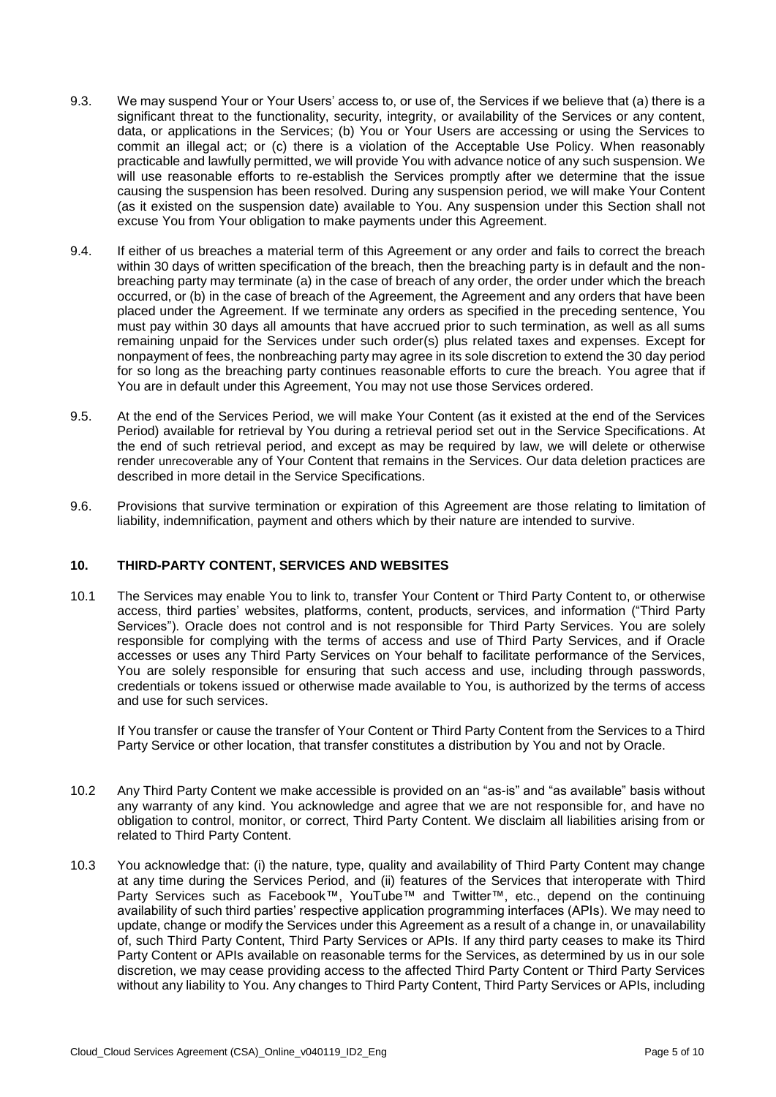- 9.3. We may suspend Your or Your Users' access to, or use of, the Services if we believe that (a) there is a significant threat to the functionality, security, integrity, or availability of the Services or any content, data, or applications in the Services; (b) You or Your Users are accessing or using the Services to commit an illegal act; or (c) there is a violation of the Acceptable Use Policy. When reasonably practicable and lawfully permitted, we will provide You with advance notice of any such suspension. We will use reasonable efforts to re-establish the Services promptly after we determine that the issue causing the suspension has been resolved. During any suspension period, we will make Your Content (as it existed on the suspension date) available to You. Any suspension under this Section shall not excuse You from Your obligation to make payments under this Agreement.
- 9.4. If either of us breaches a material term of this Agreement or any order and fails to correct the breach within 30 days of written specification of the breach, then the breaching party is in default and the nonbreaching party may terminate (a) in the case of breach of any order, the order under which the breach occurred, or (b) in the case of breach of the Agreement, the Agreement and any orders that have been placed under the Agreement. If we terminate any orders as specified in the preceding sentence, You must pay within 30 days all amounts that have accrued prior to such termination, as well as all sums remaining unpaid for the Services under such order(s) plus related taxes and expenses. Except for nonpayment of fees, the nonbreaching party may agree in its sole discretion to extend the 30 day period for so long as the breaching party continues reasonable efforts to cure the breach. You agree that if You are in default under this Agreement, You may not use those Services ordered.
- 9.5. At the end of the Services Period, we will make Your Content (as it existed at the end of the Services Period) available for retrieval by You during a retrieval period set out in the Service Specifications. At the end of such retrieval period, and except as may be required by law, we will delete or otherwise render unrecoverable any of Your Content that remains in the Services. Our data deletion practices are described in more detail in the Service Specifications.
- 9.6. Provisions that survive termination or expiration of this Agreement are those relating to limitation of liability, indemnification, payment and others which by their nature are intended to survive.

### **10. THIRD-PARTY CONTENT, SERVICES AND WEBSITES**

10.1 The Services may enable You to link to, transfer Your Content or Third Party Content to, or otherwise access, third parties' websites, platforms, content, products, services, and information ("Third Party Services"). Oracle does not control and is not responsible for Third Party Services. You are solely responsible for complying with the terms of access and use of Third Party Services, and if Oracle accesses or uses any Third Party Services on Your behalf to facilitate performance of the Services, You are solely responsible for ensuring that such access and use, including through passwords, credentials or tokens issued or otherwise made available to You, is authorized by the terms of access and use for such services.

If You transfer or cause the transfer of Your Content or Third Party Content from the Services to a Third Party Service or other location, that transfer constitutes a distribution by You and not by Oracle.

- 10.2 Any Third Party Content we make accessible is provided on an "as-is" and "as available" basis without any warranty of any kind. You acknowledge and agree that we are not responsible for, and have no obligation to control, monitor, or correct, Third Party Content. We disclaim all liabilities arising from or related to Third Party Content.
- 10.3 You acknowledge that: (i) the nature, type, quality and availability of Third Party Content may change at any time during the Services Period, and (ii) features of the Services that interoperate with Third Party Services such as Facebook™, YouTube™ and Twitter™, etc., depend on the continuing availability of such third parties' respective application programming interfaces (APIs). We may need to update, change or modify the Services under this Agreement as a result of a change in, or unavailability of, such Third Party Content, Third Party Services or APIs. If any third party ceases to make its Third Party Content or APIs available on reasonable terms for the Services, as determined by us in our sole discretion, we may cease providing access to the affected Third Party Content or Third Party Services without any liability to You. Any changes to Third Party Content, Third Party Services or APIs, including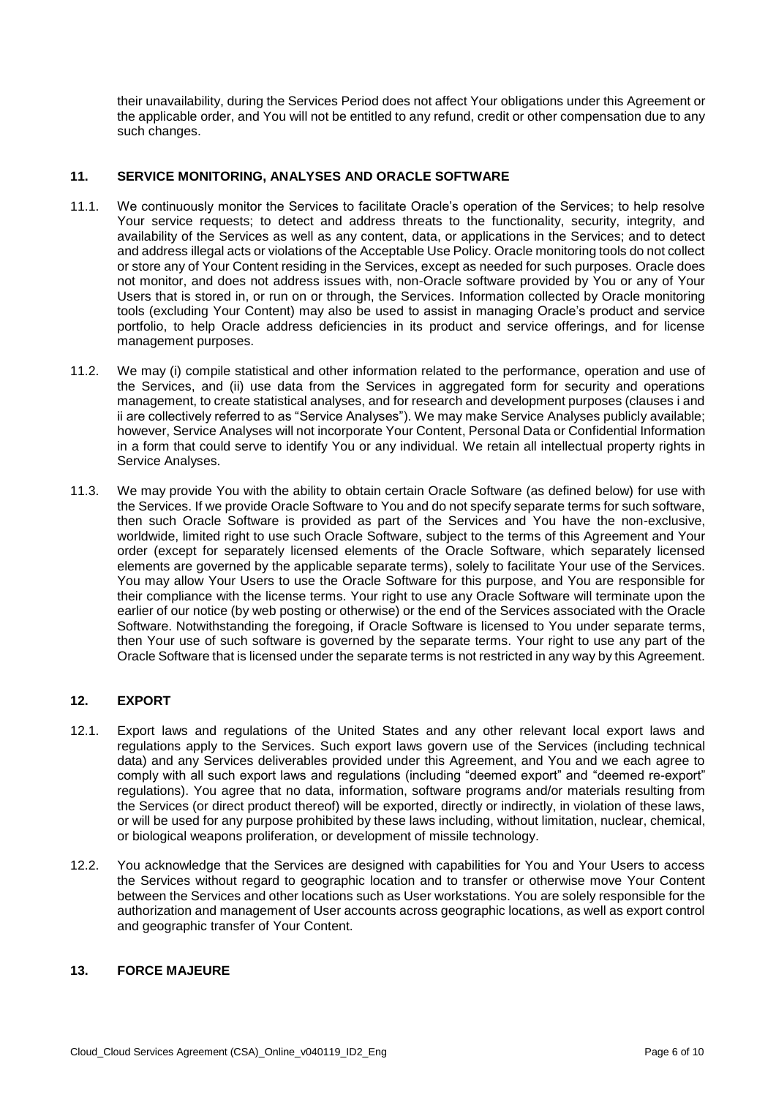their unavailability, during the Services Period does not affect Your obligations under this Agreement or the applicable order, and You will not be entitled to any refund, credit or other compensation due to any such changes.

# **11. SERVICE MONITORING, ANALYSES AND ORACLE SOFTWARE**

- 11.1. We continuously monitor the Services to facilitate Oracle's operation of the Services; to help resolve Your service requests; to detect and address threats to the functionality, security, integrity, and availability of the Services as well as any content, data, or applications in the Services; and to detect and address illegal acts or violations of the Acceptable Use Policy. Oracle monitoring tools do not collect or store any of Your Content residing in the Services, except as needed for such purposes. Oracle does not monitor, and does not address issues with, non-Oracle software provided by You or any of Your Users that is stored in, or run on or through, the Services. Information collected by Oracle monitoring tools (excluding Your Content) may also be used to assist in managing Oracle's product and service portfolio, to help Oracle address deficiencies in its product and service offerings, and for license management purposes.
- 11.2. We may (i) compile statistical and other information related to the performance, operation and use of the Services, and (ii) use data from the Services in aggregated form for security and operations management, to create statistical analyses, and for research and development purposes (clauses i and ii are collectively referred to as "Service Analyses"). We may make Service Analyses publicly available; however, Service Analyses will not incorporate Your Content, Personal Data or Confidential Information in a form that could serve to identify You or any individual. We retain all intellectual property rights in Service Analyses.
- 11.3. We may provide You with the ability to obtain certain Oracle Software (as defined below) for use with the Services. If we provide Oracle Software to You and do not specify separate terms for such software, then such Oracle Software is provided as part of the Services and You have the non-exclusive, worldwide, limited right to use such Oracle Software, subject to the terms of this Agreement and Your order (except for separately licensed elements of the Oracle Software, which separately licensed elements are governed by the applicable separate terms), solely to facilitate Your use of the Services. You may allow Your Users to use the Oracle Software for this purpose, and You are responsible for their compliance with the license terms. Your right to use any Oracle Software will terminate upon the earlier of our notice (by web posting or otherwise) or the end of the Services associated with the Oracle Software. Notwithstanding the foregoing, if Oracle Software is licensed to You under separate terms, then Your use of such software is governed by the separate terms. Your right to use any part of the Oracle Software that is licensed under the separate terms is not restricted in any way by this Agreement.

# **12. EXPORT**

- 12.1. Export laws and regulations of the United States and any other relevant local export laws and regulations apply to the Services. Such export laws govern use of the Services (including technical data) and any Services deliverables provided under this Agreement, and You and we each agree to comply with all such export laws and regulations (including "deemed export" and "deemed re-export" regulations). You agree that no data, information, software programs and/or materials resulting from the Services (or direct product thereof) will be exported, directly or indirectly, in violation of these laws, or will be used for any purpose prohibited by these laws including, without limitation, nuclear, chemical, or biological weapons proliferation, or development of missile technology.
- 12.2. You acknowledge that the Services are designed with capabilities for You and Your Users to access the Services without regard to geographic location and to transfer or otherwise move Your Content between the Services and other locations such as User workstations. You are solely responsible for the authorization and management of User accounts across geographic locations, as well as export control and geographic transfer of Your Content.

## **13. FORCE MAJEURE**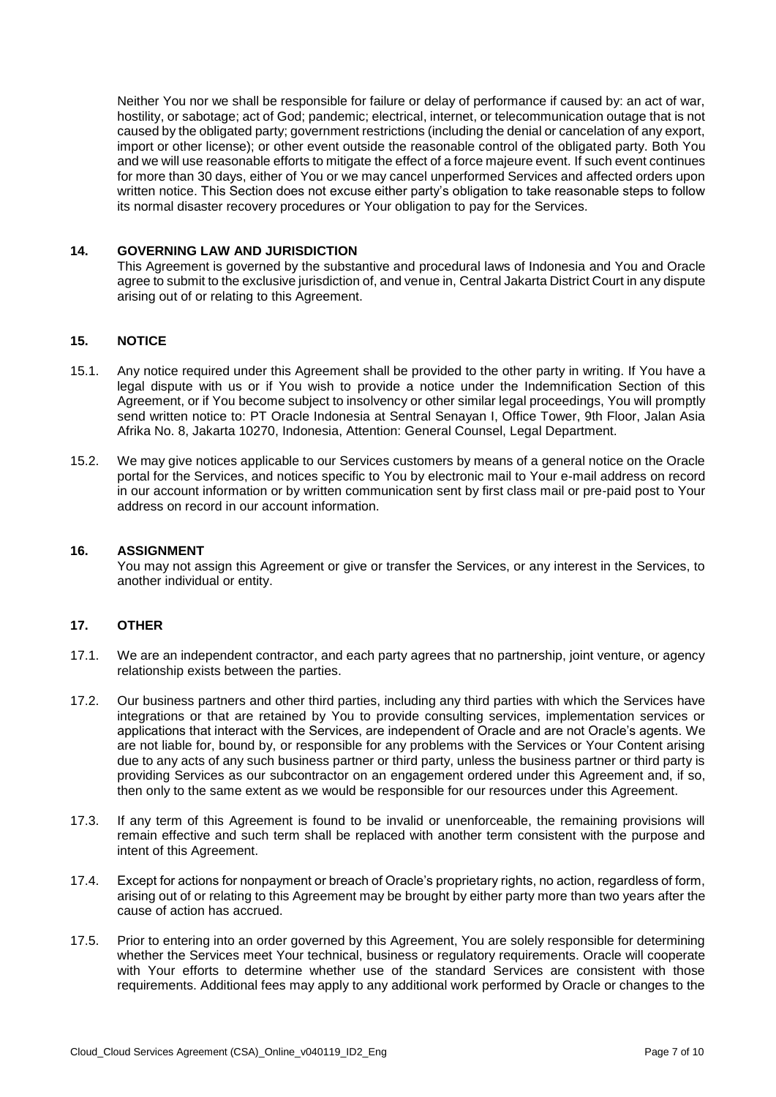Neither You nor we shall be responsible for failure or delay of performance if caused by: an act of war, hostility, or sabotage; act of God; pandemic; electrical, internet, or telecommunication outage that is not caused by the obligated party; government restrictions (including the denial or cancelation of any export, import or other license); or other event outside the reasonable control of the obligated party. Both You and we will use reasonable efforts to mitigate the effect of a force majeure event. If such event continues for more than 30 days, either of You or we may cancel unperformed Services and affected orders upon written notice. This Section does not excuse either party's obligation to take reasonable steps to follow its normal disaster recovery procedures or Your obligation to pay for the Services.

### **14. GOVERNING LAW AND JURISDICTION**

This Agreement is governed by the substantive and procedural laws of Indonesia and You and Oracle agree to submit to the exclusive jurisdiction of, and venue in, Central Jakarta District Court in any dispute arising out of or relating to this Agreement.

## **15. NOTICE**

- 15.1. Any notice required under this Agreement shall be provided to the other party in writing. If You have a legal dispute with us or if You wish to provide a notice under the Indemnification Section of this Agreement, or if You become subject to insolvency or other similar legal proceedings, You will promptly send written notice to: PT Oracle Indonesia at Sentral Senayan I, Office Tower, 9th Floor, Jalan Asia Afrika No. 8, Jakarta 10270, Indonesia, Attention: General Counsel, Legal Department.
- 15.2. We may give notices applicable to our Services customers by means of a general notice on the Oracle portal for the Services, and notices specific to You by electronic mail to Your e-mail address on record in our account information or by written communication sent by first class mail or pre-paid post to Your address on record in our account information.

#### **16. ASSIGNMENT**

You may not assign this Agreement or give or transfer the Services, or any interest in the Services, to another individual or entity.

#### **17. OTHER**

- 17.1. We are an independent contractor, and each party agrees that no partnership, joint venture, or agency relationship exists between the parties.
- 17.2. Our business partners and other third parties, including any third parties with which the Services have integrations or that are retained by You to provide consulting services, implementation services or applications that interact with the Services, are independent of Oracle and are not Oracle's agents. We are not liable for, bound by, or responsible for any problems with the Services or Your Content arising due to any acts of any such business partner or third party, unless the business partner or third party is providing Services as our subcontractor on an engagement ordered under this Agreement and, if so, then only to the same extent as we would be responsible for our resources under this Agreement.
- 17.3. If any term of this Agreement is found to be invalid or unenforceable, the remaining provisions will remain effective and such term shall be replaced with another term consistent with the purpose and intent of this Agreement.
- 17.4. Except for actions for nonpayment or breach of Oracle's proprietary rights, no action, regardless of form, arising out of or relating to this Agreement may be brought by either party more than two years after the cause of action has accrued.
- 17.5. Prior to entering into an order governed by this Agreement, You are solely responsible for determining whether the Services meet Your technical, business or regulatory requirements. Oracle will cooperate with Your efforts to determine whether use of the standard Services are consistent with those requirements. Additional fees may apply to any additional work performed by Oracle or changes to the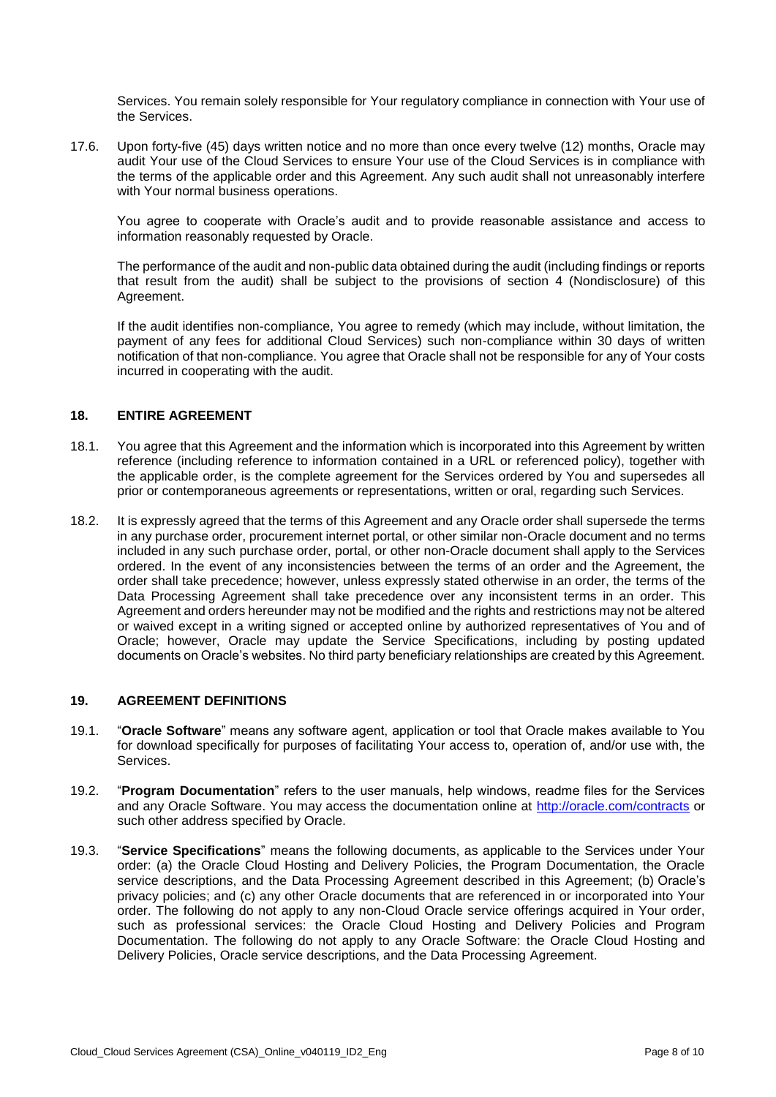Services. You remain solely responsible for Your regulatory compliance in connection with Your use of the Services.

17.6. Upon forty-five (45) days written notice and no more than once every twelve (12) months, Oracle may audit Your use of the Cloud Services to ensure Your use of the Cloud Services is in compliance with the terms of the applicable order and this Agreement. Any such audit shall not unreasonably interfere with Your normal business operations.

You agree to cooperate with Oracle's audit and to provide reasonable assistance and access to information reasonably requested by Oracle.

The performance of the audit and non-public data obtained during the audit (including findings or reports that result from the audit) shall be subject to the provisions of section 4 (Nondisclosure) of this Agreement.

If the audit identifies non-compliance, You agree to remedy (which may include, without limitation, the payment of any fees for additional Cloud Services) such non-compliance within 30 days of written notification of that non-compliance. You agree that Oracle shall not be responsible for any of Your costs incurred in cooperating with the audit.

### **18. ENTIRE AGREEMENT**

- 18.1. You agree that this Agreement and the information which is incorporated into this Agreement by written reference (including reference to information contained in a URL or referenced policy), together with the applicable order, is the complete agreement for the Services ordered by You and supersedes all prior or contemporaneous agreements or representations, written or oral, regarding such Services.
- 18.2. It is expressly agreed that the terms of this Agreement and any Oracle order shall supersede the terms in any purchase order, procurement internet portal, or other similar non-Oracle document and no terms included in any such purchase order, portal, or other non-Oracle document shall apply to the Services ordered. In the event of any inconsistencies between the terms of an order and the Agreement, the order shall take precedence; however, unless expressly stated otherwise in an order, the terms of the Data Processing Agreement shall take precedence over any inconsistent terms in an order. This Agreement and orders hereunder may not be modified and the rights and restrictions may not be altered or waived except in a writing signed or accepted online by authorized representatives of You and of Oracle; however, Oracle may update the Service Specifications, including by posting updated documents on Oracle's websites. No third party beneficiary relationships are created by this Agreement.

## **19. AGREEMENT DEFINITIONS**

- 19.1. "**Oracle Software**" means any software agent, application or tool that Oracle makes available to You for download specifically for purposes of facilitating Your access to, operation of, and/or use with, the Services.
- 19.2. "**Program Documentation**" refers to the user manuals, help windows, readme files for the Services and any Oracle Software. You may access the documentation online at<http://oracle.com/contracts> or such other address specified by Oracle.
- 19.3. "**Service Specifications**" means the following documents, as applicable to the Services under Your order: (a) the Oracle Cloud Hosting and Delivery Policies, the Program Documentation, the Oracle service descriptions, and the Data Processing Agreement described in this Agreement; (b) Oracle's privacy policies; and (c) any other Oracle documents that are referenced in or incorporated into Your order. The following do not apply to any non-Cloud Oracle service offerings acquired in Your order, such as professional services: the Oracle Cloud Hosting and Delivery Policies and Program Documentation. The following do not apply to any Oracle Software: the Oracle Cloud Hosting and Delivery Policies, Oracle service descriptions, and the Data Processing Agreement.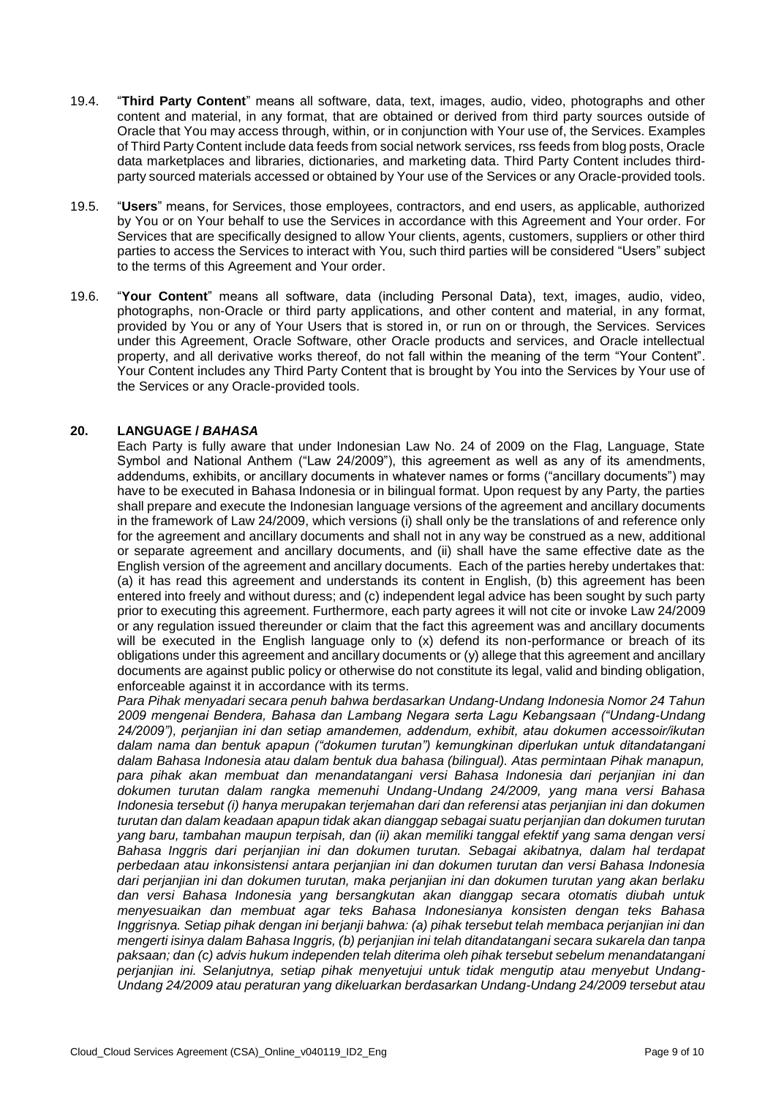- 19.4. "**Third Party Content**" means all software, data, text, images, audio, video, photographs and other content and material, in any format, that are obtained or derived from third party sources outside of Oracle that You may access through, within, or in conjunction with Your use of, the Services. Examples of Third Party Content include data feeds from social network services, rss feeds from blog posts, Oracle data marketplaces and libraries, dictionaries, and marketing data. Third Party Content includes thirdparty sourced materials accessed or obtained by Your use of the Services or any Oracle-provided tools.
- 19.5. "**Users**" means, for Services, those employees, contractors, and end users, as applicable, authorized by You or on Your behalf to use the Services in accordance with this Agreement and Your order. For Services that are specifically designed to allow Your clients, agents, customers, suppliers or other third parties to access the Services to interact with You, such third parties will be considered "Users" subject to the terms of this Agreement and Your order.
- 19.6. "**Your Content**" means all software, data (including Personal Data), text, images, audio, video, photographs, non-Oracle or third party applications, and other content and material, in any format, provided by You or any of Your Users that is stored in, or run on or through, the Services. Services under this Agreement, Oracle Software, other Oracle products and services, and Oracle intellectual property, and all derivative works thereof, do not fall within the meaning of the term "Your Content". Your Content includes any Third Party Content that is brought by You into the Services by Your use of the Services or any Oracle-provided tools.

## **20. LANGUAGE /** *BAHASA*

Each Party is fully aware that under Indonesian Law No. 24 of 2009 on the Flag, Language, State Symbol and National Anthem ("Law 24/2009"), this agreement as well as any of its amendments, addendums, exhibits, or ancillary documents in whatever names or forms ("ancillary documents") may have to be executed in Bahasa Indonesia or in bilingual format. Upon request by any Party, the parties shall prepare and execute the Indonesian language versions of the agreement and ancillary documents in the framework of Law 24/2009, which versions (i) shall only be the translations of and reference only for the agreement and ancillary documents and shall not in any way be construed as a new, additional or separate agreement and ancillary documents, and (ii) shall have the same effective date as the English version of the agreement and ancillary documents. Each of the parties hereby undertakes that: (a) it has read this agreement and understands its content in English, (b) this agreement has been entered into freely and without duress; and (c) independent legal advice has been sought by such party prior to executing this agreement. Furthermore, each party agrees it will not cite or invoke Law 24/2009 or any regulation issued thereunder or claim that the fact this agreement was and ancillary documents will be executed in the English language only to (x) defend its non-performance or breach of its obligations under this agreement and ancillary documents or (y) allege that this agreement and ancillary documents are against public policy or otherwise do not constitute its legal, valid and binding obligation, enforceable against it in accordance with its terms.

*Para Pihak menyadari secara penuh bahwa berdasarkan Undang-Undang Indonesia Nomor 24 Tahun 2009 mengenai Bendera, Bahasa dan Lambang Negara serta Lagu Kebangsaan ("Undang-Undang 24/2009"), perjanjian ini dan setiap amandemen, addendum, exhibit, atau dokumen accessoir/ikutan dalam nama dan bentuk apapun ("dokumen turutan") kemungkinan diperlukan untuk ditandatangani dalam Bahasa Indonesia atau dalam bentuk dua bahasa (bilingual). Atas permintaan Pihak manapun, para pihak akan membuat dan menandatangani versi Bahasa Indonesia dari perjanjian ini dan dokumen turutan dalam rangka memenuhi Undang-Undang 24/2009, yang mana versi Bahasa Indonesia tersebut (i) hanya merupakan terjemahan dari dan referensi atas perjanjian ini dan dokumen turutan dan dalam keadaan apapun tidak akan dianggap sebagai suatu perjanjian dan dokumen turutan yang baru, tambahan maupun terpisah, dan (ii) akan memiliki tanggal efektif yang sama dengan versi Bahasa Inggris dari perjanjian ini dan dokumen turutan. Sebagai akibatnya, dalam hal terdapat perbedaan atau inkonsistensi antara perjanjian ini dan dokumen turutan dan versi Bahasa Indonesia dari perjanjian ini dan dokumen turutan, maka perjanjian ini dan dokumen turutan yang akan berlaku dan versi Bahasa Indonesia yang bersangkutan akan dianggap secara otomatis diubah untuk menyesuaikan dan membuat agar teks Bahasa Indonesianya konsisten dengan teks Bahasa Inggrisnya. Setiap pihak dengan ini berjanji bahwa: (a) pihak tersebut telah membaca perjanjian ini dan mengerti isinya dalam Bahasa Inggris, (b) perjanjian ini telah ditandatangani secara sukarela dan tanpa paksaan; dan (c) advis hukum independen telah diterima oleh pihak tersebut sebelum menandatangani perjanjian ini. Selanjutnya, setiap pihak menyetujui untuk tidak mengutip atau menyebut Undang-Undang 24/2009 atau peraturan yang dikeluarkan berdasarkan Undang-Undang 24/2009 tersebut atau*